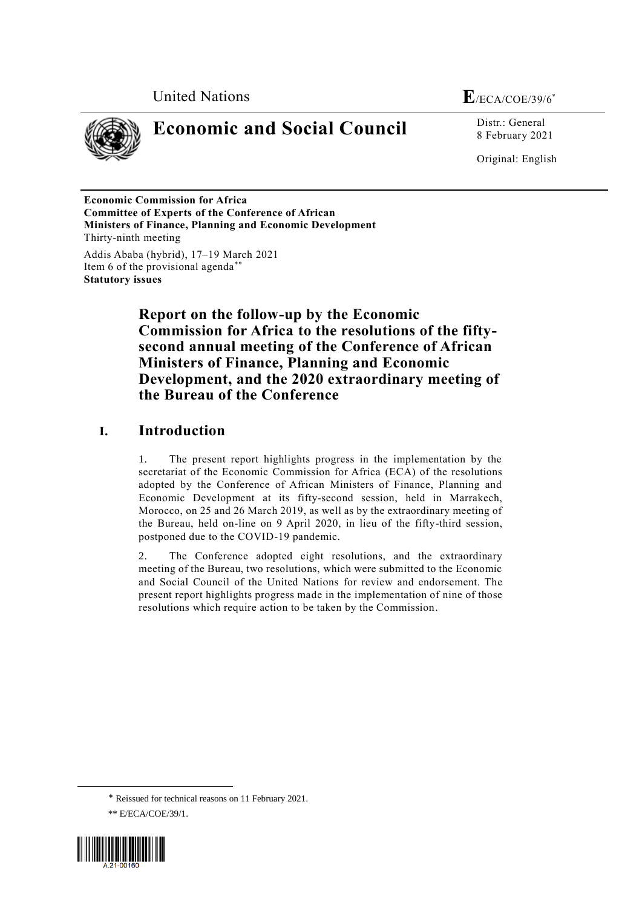



# **Economic and Social Council** Distr.: General

8 February 2021

Original: English

**Economic Commission for Africa Committee of Experts of the Conference of African Ministers of Finance, Planning and Economic Development** Thirty-ninth meeting

Addis Ababa (hybrid), 17–19 March 2021 Item 6 of the provisional agenda\*\* **Statutory issues**

> **Report on the follow-up by the Economic Commission for Africa to the resolutions of the fiftysecond annual meeting of the Conference of African Ministers of Finance, Planning and Economic Development, and the 2020 extraordinary meeting of the Bureau of the Conference**

## **I. Introduction**

1. The present report highlights progress in the implementation by the secretariat of the Economic Commission for Africa (ECA) of the resolutions adopted by the Conference of African Ministers of Finance, Planning and Economic Development at its fifty-second session, held in Marrakech, Morocco, on 25 and 26 March 2019, as well as by the extraordinary meeting of the Bureau, held on-line on 9 April 2020, in lieu of the fifty-third session, postponed due to the COVID-19 pandemic.

2. The Conference adopted eight resolutions, and the extraordinary meeting of the Bureau, two resolutions, which were submitted to the Economic and Social Council of the United Nations for review and endorsement. The present report highlights progress made in the implementation of nine of those resolutions which require action to be taken by the Commission.

<sup>\*\*</sup> E/ECA/COE/39/1.



1

<sup>\*</sup> Reissued for technical reasons on 11 February 2021.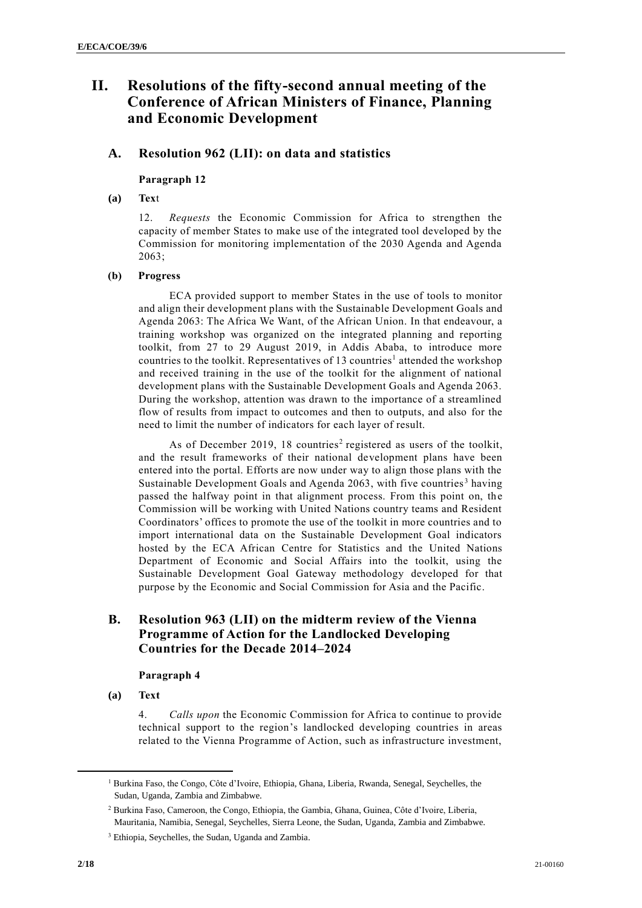## **II. Resolutions of the fifty-second annual meeting of the Conference of African Ministers of Finance, Planning and Economic Development**

## **A. Resolution 962 (LII): on data and statistics**

#### **Paragraph 12**

#### **(a) Tex**t

12. *Requests* the Economic Commission for Africa to strengthen the capacity of member States to make use of the integrated tool developed by the Commission for monitoring implementation of the 2030 Agenda and Agenda 2063;

## **(b) Progress**

ECA provided support to member States in the use of tools to monitor and align their development plans with the Sustainable Development Goals and Agenda 2063: The Africa We Want, of the African Union. In that endeavour, a training workshop was organized on the integrated planning and reporting toolkit, from 27 to 29 August 2019, in Addis Ababa, to introduce more countries to the toolkit. Representatives of 13 countries<sup>1</sup> attended the workshop and received training in the use of the toolkit for the alignment of national development plans with the Sustainable Development Goals and Agenda 2063. During the workshop, attention was drawn to the importance of a streamlined flow of results from impact to outcomes and then to outputs, and also for the need to limit the number of indicators for each layer of result.

As of December 2019, 18 countries<sup>2</sup> registered as users of the toolkit, and the result frameworks of their national development plans have been entered into the portal. Efforts are now under way to align those plans with the Sustainable Development Goals and Agenda 2063, with five countries<sup>3</sup> having passed the halfway point in that alignment process. From this point on, the Commission will be working with United Nations country teams and Resident Coordinators' offices to promote the use of the toolkit in more countries and to import international data on the Sustainable Development Goal indicators hosted by the ECA African Centre for Statistics and the United Nations Department of Economic and Social Affairs into the toolkit, using the Sustainable Development Goal Gateway methodology developed for that purpose by the Economic and Social Commission for Asia and the Pacific.

## **B. Resolution 963 (LII) on the midterm review of the Vienna Programme of Action for the Landlocked Developing Countries for the Decade 2014–2024**

#### **Paragraph 4**

**(a) Text**

4. *Calls upon* the Economic Commission for Africa to continue to provide technical support to the region's landlocked developing countries in areas related to the Vienna Programme of Action, such as infrastructure investment,

 $\overline{a}$ 

<sup>&</sup>lt;sup>1</sup> Burkina Faso, the Congo, Côte d'Ivoire, Ethiopia, Ghana, Liberia, Rwanda, Senegal, Seychelles, the Sudan, Uganda, Zambia and Zimbabwe.

<sup>2</sup> Burkina Faso, Cameroon, the Congo, Ethiopia, the Gambia, Ghana, Guinea, Côte d'Ivoire, Liberia, Mauritania, Namibia, Senegal, Seychelles, Sierra Leone, the Sudan, Uganda, Zambia and Zimbabwe.

<sup>3</sup> Ethiopia, Seychelles, the Sudan, Uganda and Zambia.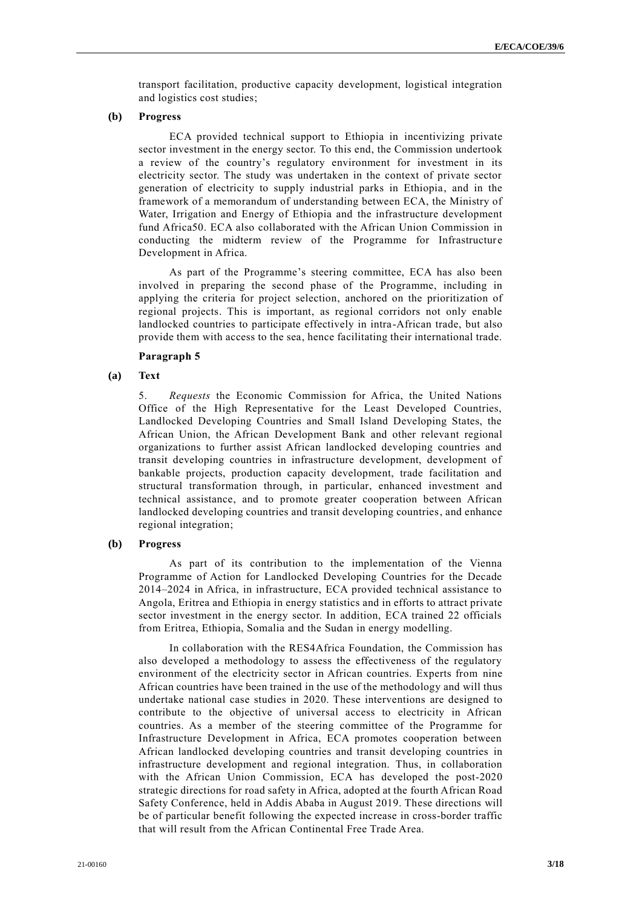transport facilitation, productive capacity development, logistical integration and logistics cost studies;

#### **(b) Progress**

ECA provided technical support to Ethiopia in incentivizing private sector investment in the energy sector. To this end, the Commission undertook a review of the country's regulatory environment for investment in its electricity sector. The study was undertaken in the context of private sector generation of electricity to supply industrial parks in Ethiopia, and in the framework of a memorandum of understanding between ECA, the Ministry of Water, Irrigation and Energy of Ethiopia and the infrastructure development fund Africa50. ECA also collaborated with the African Union Commission in conducting the midterm review of the Programme for Infrastructure Development in Africa.

As part of the Programme's steering committee, ECA has also been involved in preparing the second phase of the Programme, including in applying the criteria for project selection, anchored on the prioritization of regional projects. This is important, as regional corridors not only enable landlocked countries to participate effectively in intra-African trade, but also provide them with access to the sea, hence facilitating their international trade.

#### **Paragraph 5**

#### **(a) Text**

5. *Requests* the Economic Commission for Africa, the United Nations Office of the High Representative for the Least Developed Countries, Landlocked Developing Countries and Small Island Developing States, the African Union, the African Development Bank and other relevant regional organizations to further assist African landlocked developing countries and transit developing countries in infrastructure development, development of bankable projects, production capacity development, trade facilitation and structural transformation through, in particular, enhanced investment and technical assistance, and to promote greater cooperation between African landlocked developing countries and transit developing countries, and enhance regional integration;

#### **(b) Progress**

As part of its contribution to the implementation of the Vienna Programme of Action for Landlocked Developing Countries for the Decade 2014–2024 in Africa, in infrastructure, ECA provided technical assistance to Angola, Eritrea and Ethiopia in energy statistics and in efforts to attract private sector investment in the energy sector. In addition, ECA trained 22 officials from Eritrea, Ethiopia, Somalia and the Sudan in energy modelling.

In collaboration with the RES4Africa Foundation, the Commission has also developed a methodology to assess the effectiveness of the regulatory environment of the electricity sector in African countries. Experts from nine African countries have been trained in the use of the methodology and will thus undertake national case studies in 2020. These interventions are designed to contribute to the objective of universal access to electricity in African countries. As a member of the steering committee of the Programme for Infrastructure Development in Africa, ECA promotes cooperation between African landlocked developing countries and transit developing countries in infrastructure development and regional integration. Thus, in collaboration with the African Union Commission, ECA has developed the post-2020 strategic directions for road safety in Africa, adopted at the fourth African Road Safety Conference, held in Addis Ababa in August 2019. These directions will be of particular benefit following the expected increase in cross-border traffic that will result from the African Continental Free Trade Area.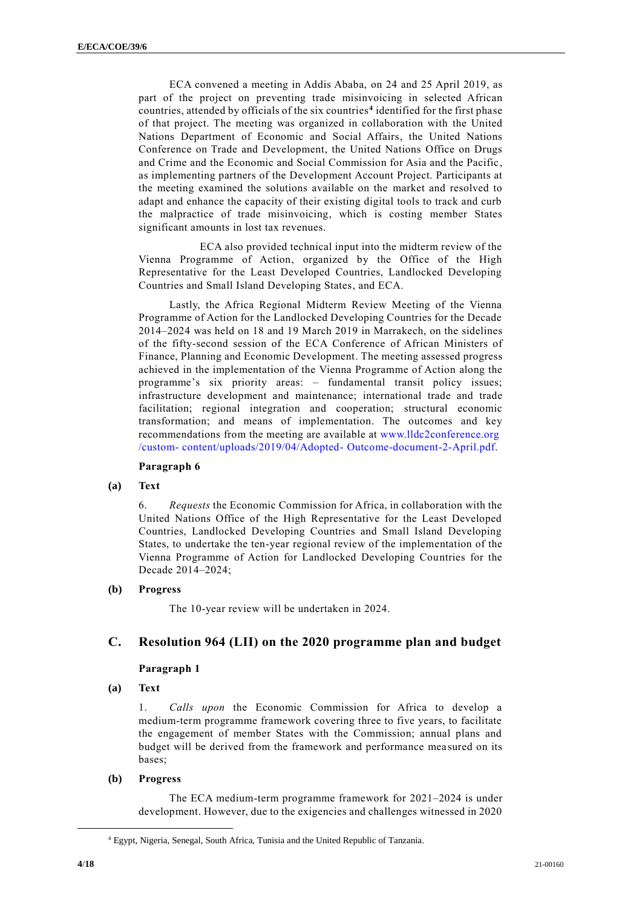ECA convened a meeting in Addis Ababa, on 24 and 25 April 2019, as part of the project on preventing trade misinvoicing in selected African countries, attended by officials of the six countries**<sup>4</sup>** identified for the first phase of that project. The meeting was organized in collaboration with the United Nations Department of Economic and Social Affairs, the United Nations Conference on Trade and Development, the United Nations Office on Drugs and Crime and the Economic and Social Commission for Asia and the Pacific, as implementing partners of the Development Account Project. Participants at the meeting examined the solutions available on the market and resolved to adapt and enhance the capacity of their existing digital tools to track and curb the malpractice of trade misinvoicing, which is costing member States significant amounts in lost tax revenues.

ECA also provided technical input into the midterm review of the Vienna Programme of Action, organized by the Office of the High Representative for the Least Developed Countries, Landlocked Developing Countries and Small Island Developing States, and ECA.

Lastly, the Africa Regional Midterm Review Meeting of the Vienna Programme of Action for the Landlocked Developing Countries for the Decade 2014–2024 was held on 18 and 19 March 2019 in Marrakech, on the sidelines of the fifty-second session of the ECA Conference of African Ministers of Finance, Planning and Economic Development. The meeting assessed progress achieved in the implementation of the Vienna Programme of Action along the programme's six priority areas: – fundamental transit policy issues; infrastructure development and maintenance; international trade and trade facilitation; regional integration and cooperation; structural economic transformation; and means of implementation. The outcomes and key recommendations from the meeting are available at [www.lldc2conference.org](http://www.lldc2conference.org/custom- content/uploads/2019/04/Adopted- Outcome-document-2-April.pdf) /custom- [content/uploads/2019/04/Adopted-](http://www.lldc2conference.org/custom- content/uploads/2019/04/Adopted- Outcome-document-2-April.pdf) Outcome-document-2-April.pdf.

#### **Paragraph 6**

#### **(a) Text**

6. *Requests* the Economic Commission for Africa, in collaboration with the United Nations Office of the High Representative for the Least Developed Countries, Landlocked Developing Countries and Small Island Developing States, to undertake the ten-year regional review of the implementation of the Vienna Programme of Action for Landlocked Developing Countries for the Decade 2014–2024;

#### **(b) Progress**

The 10-year review will be undertaken in 2024.

## **C. Resolution 964 (LII) on the 2020 programme plan and budget**

#### **Paragraph 1**

**(a) Text**

1. *Calls upon* the Economic Commission for Africa to develop a medium-term programme framework covering three to five years, to facilitate the engagement of member States with the Commission; annual plans and budget will be derived from the framework and performance mea sured on its bases;

#### **(b) Progress**

The ECA medium-term programme framework for 2021–2024 is under development. However, due to the exigencies and challenges witnessed in 2020

**.** 

<sup>4</sup> Egypt, Nigeria, Senegal, South Africa, Tunisia and the United Republic of Tanzania.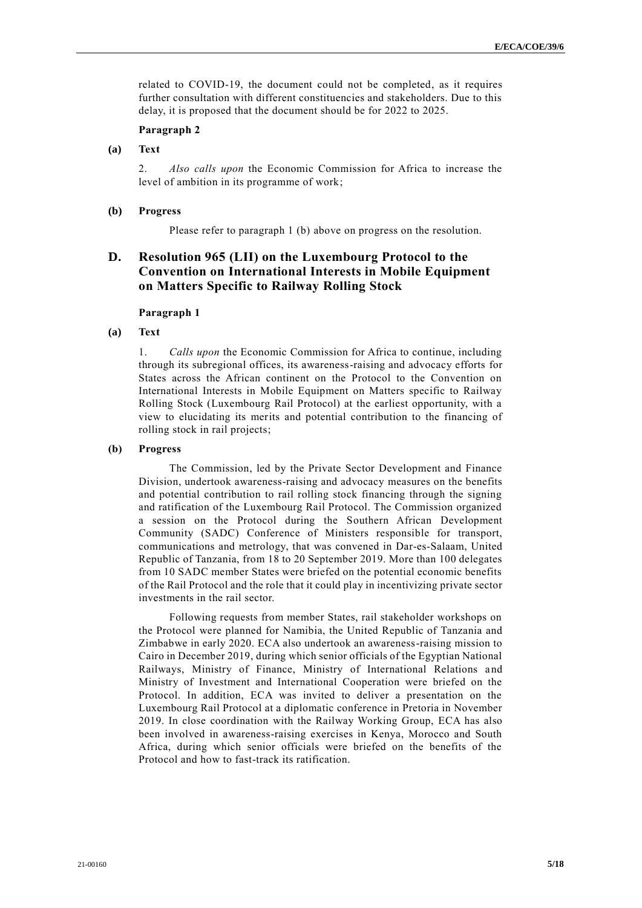related to COVID-19, the document could not be completed, as it requires further consultation with different constituencies and stakeholders. Due to this delay, it is proposed that the document should be for 2022 to 2025.

#### **Paragraph 2**

**(a) Text**

2. *Also calls upon* the Economic Commission for Africa to increase the level of ambition in its programme of work;

#### **(b) Progress**

Please refer to paragraph 1 (b) above on progress on the resolution.

## **D. Resolution 965 (LII) on the Luxembourg Protocol to the Convention on International Interests in Mobile Equipment on Matters Specific to Railway Rolling Stock**

#### **Paragraph 1**

## **(a) Text**

1. *Calls upon* the Economic Commission for Africa to continue, including through its subregional offices, its awareness-raising and advocacy efforts for States across the African continent on the Protocol to the Convention on International Interests in Mobile Equipment on Matters specific to Railway Rolling Stock (Luxembourg Rail Protocol) at the earliest opportunity, with a view to elucidating its merits and potential contribution to the financing of rolling stock in rail projects;

#### **(b) Progress**

The Commission, led by the Private Sector Development and Finance Division, undertook awareness-raising and advocacy measures on the benefits and potential contribution to rail rolling stock financing through the signing and ratification of the Luxembourg Rail Protocol. The Commission organized a session on the Protocol during the Southern African Development Community (SADC) Conference of Ministers responsible for transport, communications and metrology, that was convened in Dar-es-Salaam, United Republic of Tanzania, from 18 to 20 September 2019. More than 100 delegates from 10 SADC member States were briefed on the potential economic benefits of the Rail Protocol and the role that it could play in incentivizing private sector investments in the rail sector.

Following requests from member States, rail stakeholder workshops on the Protocol were planned for Namibia, the United Republic of Tanzania and Zimbabwe in early 2020. ECA also undertook an awareness-raising mission to Cairo in December 2019, during which senior officials of the Egyptian National Railways, Ministry of Finance, Ministry of International Relations and Ministry of Investment and International Cooperation were briefed on the Protocol. In addition, ECA was invited to deliver a presentation on the Luxembourg Rail Protocol at a diplomatic conference in Pretoria in November 2019. In close coordination with the Railway Working Group, ECA has also been involved in awareness-raising exercises in Kenya, Morocco and South Africa, during which senior officials were briefed on the benefits of the Protocol and how to fast-track its ratification.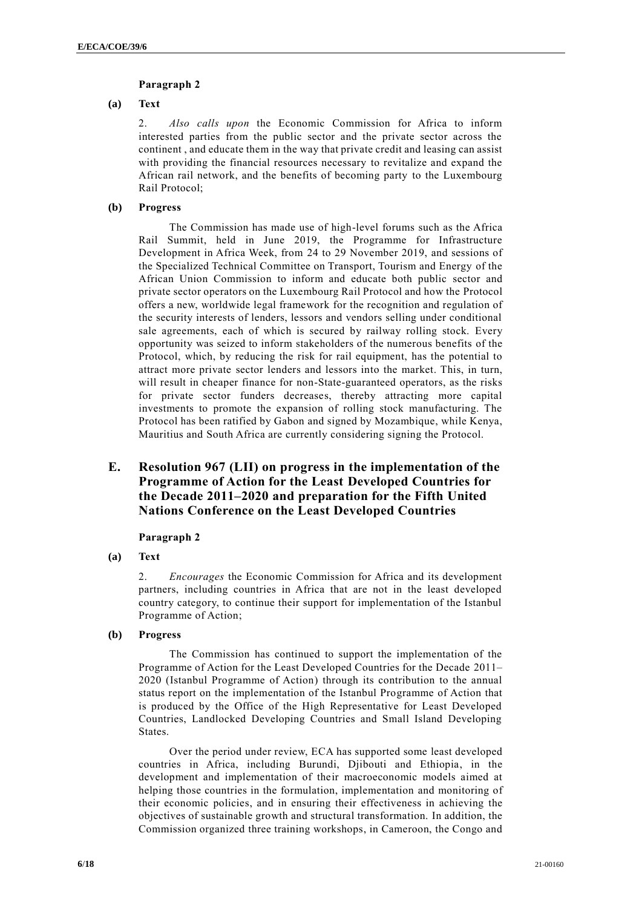## **Paragraph 2**

## **(a) Text**

2. *Also calls upon* the Economic Commission for Africa to inform interested parties from the public sector and the private sector across the continent , and educate them in the way that private credit and leasing can assist with providing the financial resources necessary to revitalize and expand the African rail network, and the benefits of becoming party to the Luxembourg Rail Protocol;

## **(b) Progress**

The Commission has made use of high-level forums such as the Africa Rail Summit, held in June 2019, the Programme for Infrastructure Development in Africa Week, from 24 to 29 November 2019, and sessions of the Specialized Technical Committee on Transport, Tourism and Energy of the African Union Commission to inform and educate both public sector and private sector operators on the Luxembourg Rail Protocol and how the Protocol offers a new, worldwide legal framework for the recognition and regulation of the security interests of lenders, lessors and vendors selling under conditional sale agreements, each of which is secured by railway rolling stock. Every opportunity was seized to inform stakeholders of the numerous benefits of the Protocol, which, by reducing the risk for rail equipment, has the potential to attract more private sector lenders and lessors into the market. This, in turn, will result in cheaper finance for non-State-guaranteed operators, as the risks for private sector funders decreases, thereby attracting more capital investments to promote the expansion of rolling stock manufacturing. The Protocol has been ratified by Gabon and signed by Mozambique, while Kenya, Mauritius and South Africa are currently considering signing the Protocol.

## **E. Resolution 967 (LII) on progress in the implementation of the Programme of Action for the Least Developed Countries for the Decade 2011–2020 and preparation for the Fifth United Nations Conference on the Least Developed Countries**

#### **Paragraph 2**

**(a) Text**

2. *Encourages* the Economic Commission for Africa and its development partners, including countries in Africa that are not in the least developed country category, to continue their support for implementation of the Istanbul Programme of Action;

**(b) Progress**

The Commission has continued to support the implementation of the Programme of Action for the Least Developed Countries for the Decade 2011– 2020 (Istanbul Programme of Action) through its contribution to the annual status report on the implementation of the Istanbul Programme of Action that is produced by the Office of the High Representative for Least Developed Countries, Landlocked Developing Countries and Small Island Developing States.

Over the period under review, ECA has supported some least developed countries in Africa, including Burundi, Djibouti and Ethiopia, in the development and implementation of their macroeconomic models aimed at helping those countries in the formulation, implementation and monitoring of their economic policies, and in ensuring their effectiveness in achieving the objectives of sustainable growth and structural transformation. In addition, the Commission organized three training workshops, in Cameroon, the Congo and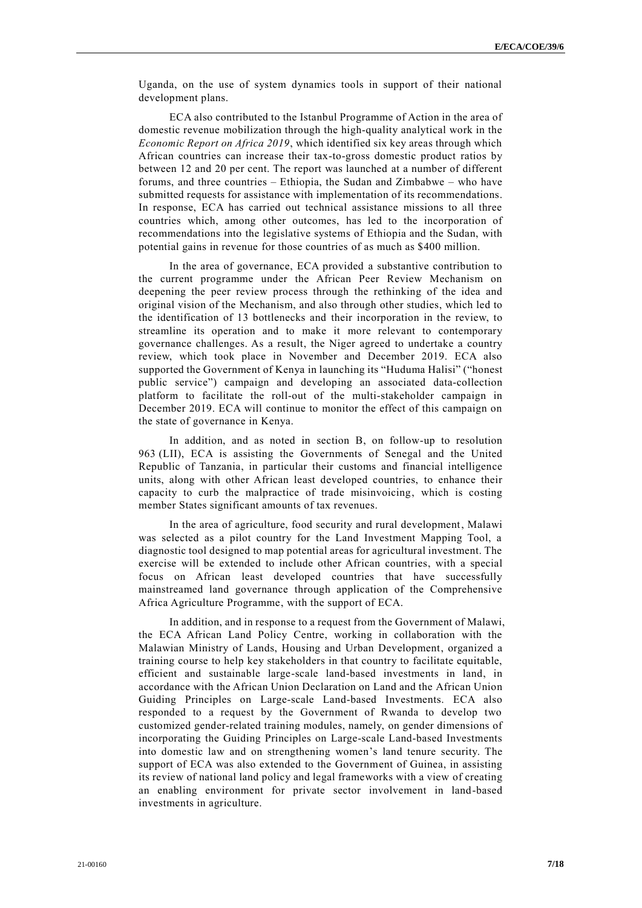Uganda, on the use of system dynamics tools in support of their national development plans.

ECA also contributed to the Istanbul Programme of Action in the area of domestic revenue mobilization through the high-quality analytical work in the *Economic Report on Africa 2019*, which identified six key areas through which African countries can increase their tax-to-gross domestic product ratios by between 12 and 20 per cent. The report was launched at a number of different forums, and three countries – Ethiopia, the Sudan and Zimbabwe – who have submitted requests for assistance with implementation of its recommendations. In response, ECA has carried out technical assistance missions to all three countries which, among other outcomes, has led to the incorporation of recommendations into the legislative systems of Ethiopia and the Sudan, with potential gains in revenue for those countries of as much as \$400 million.

In the area of governance, ECA provided a substantive contribution to the current programme under the African Peer Review Mechanism on deepening the peer review process through the rethinking of the idea and original vision of the Mechanism, and also through other studies, which led to the identification of 13 bottlenecks and their incorporation in the review, to streamline its operation and to make it more relevant to contemporary governance challenges. As a result, the Niger agreed to undertake a country review, which took place in November and December 2019. ECA also supported the Government of Kenya in launching its "Huduma Halisi" ("honest public service") campaign and developing an associated data-collection platform to facilitate the roll-out of the multi-stakeholder campaign in December 2019. ECA will continue to monitor the effect of this campaign on the state of governance in Kenya.

In addition, and as noted in section B, on follow-up to resolution 963 (LII), ECA is assisting the Governments of Senegal and the United Republic of Tanzania, in particular their customs and financial intelligence units, along with other African least developed countries, to enhance their capacity to curb the malpractice of trade misinvoicing, which is costing member States significant amounts of tax revenues.

In the area of agriculture, food security and rural development, Malawi was selected as a pilot country for the Land Investment Mapping Tool, a diagnostic tool designed to map potential areas for agricultural investment. The exercise will be extended to include other African countries, with a special focus on African least developed countries that have successfully mainstreamed land governance through application of the Comprehensive Africa Agriculture Programme, with the support of ECA.

In addition, and in response to a request from the Government of Malawi, the ECA African Land Policy Centre, working in collaboration with the Malawian Ministry of Lands, Housing and Urban Development, organized a training course to help key stakeholders in that country to facilitate equitable, efficient and sustainable large-scale land-based investments in land, in accordance with the African Union Declaration on Land and the African Union Guiding Principles on Large-scale Land-based Investments. ECA also responded to a request by the Government of Rwanda to develop two customized gender-related training modules, namely, on gender dimensions of incorporating the Guiding Principles on Large-scale Land-based Investments into domestic law and on strengthening women's land tenure security. The support of ECA was also extended to the Government of Guinea, in assisting its review of national land policy and legal frameworks with a view of creating an enabling environment for private sector involvement in land-based investments in agriculture.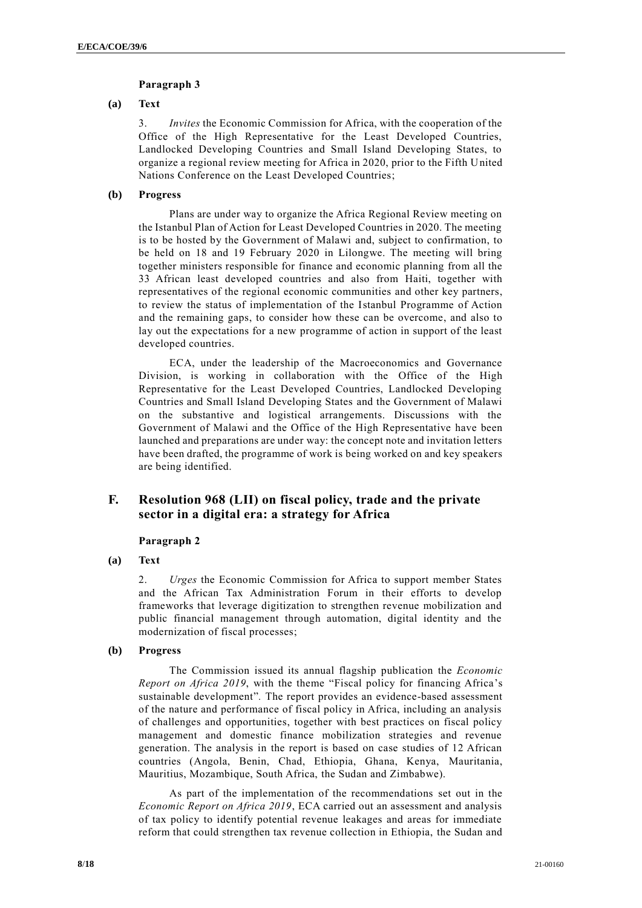## **Paragraph 3**

## **(a) Text**

3. *Invites* the Economic Commission for Africa, with the cooperation of the Office of the High Representative for the Least Developed Countries, Landlocked Developing Countries and Small Island Developing States, to organize a regional review meeting for Africa in 2020, prior to the Fifth United Nations Conference on the Least Developed Countries;

## **(b) Progress**

Plans are under way to organize the Africa Regional Review meeting on the Istanbul Plan of Action for Least Developed Countries in 2020. The meeting is to be hosted by the Government of Malawi and, subject to confirmation, to be held on 18 and 19 February 2020 in Lilongwe. The meeting will bring together ministers responsible for finance and economic planning from all the 33 African least developed countries and also from Haiti, together with representatives of the regional economic communities and other key partners, to review the status of implementation of the Istanbul Programme of Action and the remaining gaps, to consider how these can be overcome, and also to lay out the expectations for a new programme of action in support of the least developed countries.

ECA, under the leadership of the Macroeconomics and Governance Division, is working in collaboration with the Office of the High Representative for the Least Developed Countries, Landlocked Developing Countries and Small Island Developing States and the Government of Malawi on the substantive and logistical arrangements. Discussions with the Government of Malawi and the Office of the High Representative have been launched and preparations are under way: the concept note and invitation letters have been drafted, the programme of work is being worked on and key speakers are being identified.

## **F. Resolution 968 (LII) on fiscal policy, trade and the private sector in a digital era: a strategy for Africa**

#### **Paragraph 2**

#### **(a) Text**

2. *Urges* the Economic Commission for Africa to support member States and the African Tax Administration Forum in their efforts to develop frameworks that leverage digitization to strengthen revenue mobilization and public financial management through automation, digital identity and the modernization of fiscal processes;

#### **(b) Progress**

The Commission issued its annual flagship publication the *Economic Report on Africa 2019*, with the theme "Fiscal policy for financing Africa's sustainable development"*.* The report provides an evidence-based assessment of the nature and performance of fiscal policy in Africa, including an analysis of challenges and opportunities, together with best practices on fiscal policy management and domestic finance mobilization strategies and revenue generation. The analysis in the report is based on case studies of 12 African countries (Angola, Benin, Chad, Ethiopia, Ghana, Kenya, Mauritania, Mauritius, Mozambique, South Africa, the Sudan and Zimbabwe).

As part of the implementation of the recommendations set out in the *Economic Report on Africa 2019*, ECA carried out an assessment and analysis of tax policy to identify potential revenue leakages and areas for immediate reform that could strengthen tax revenue collection in Ethiopia, the Sudan and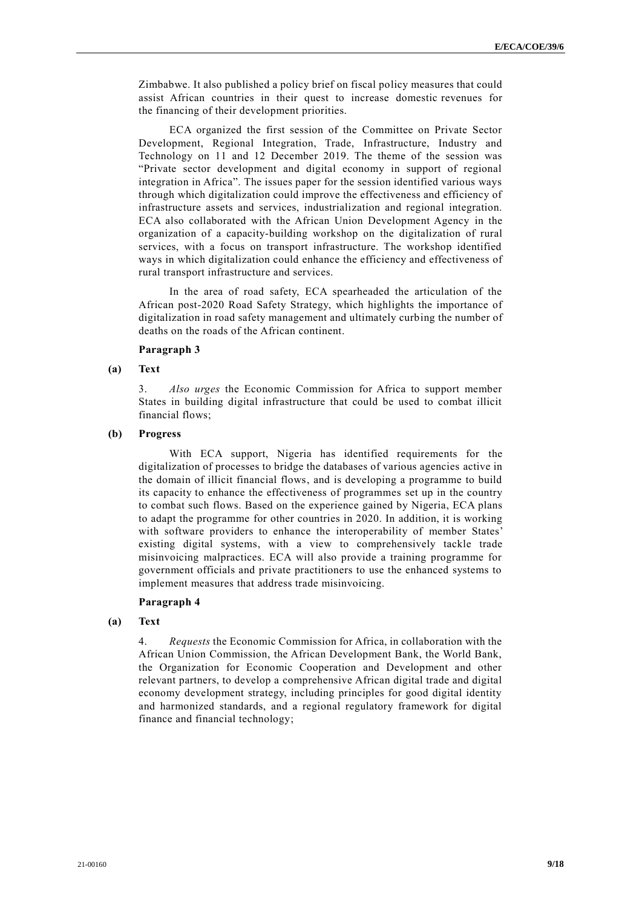Zimbabwe. It also published a policy brief on fiscal policy measures that could assist African countries in their quest to increase domestic revenues for the financing of their development priorities.

ECA organized the first session of the Committee on Private Sector Development, Regional Integration, Trade, Infrastructure, Industry and Technology on 11 and 12 December 2019. The theme of the session was "Private sector development and digital economy in support of regional integration in Africa". The issues paper for the session identified various ways through which digitalization could improve the effectiveness and efficiency of infrastructure assets and services, industrialization and regional integration. ECA also collaborated with the African Union Development Agency in the organization of a capacity-building workshop on the digitalization of rural services, with a focus on transport infrastructure. The workshop identified ways in which digitalization could enhance the efficiency and effectiveness of rural transport infrastructure and services.

In the area of road safety, ECA spearheaded the articulation of the African post-2020 Road Safety Strategy, which highlights the importance of digitalization in road safety management and ultimately curbing the number of deaths on the roads of the African continent.

#### **Paragraph 3**

#### **(a) Text**

3. *Also urges* the Economic Commission for Africa to support member States in building digital infrastructure that could be used to combat illicit financial flows;

#### **(b) Progress**

With ECA support, Nigeria has identified requirements for the digitalization of processes to bridge the databases of various agencies active in the domain of illicit financial flows, and is developing a programme to build its capacity to enhance the effectiveness of programmes set up in the country to combat such flows. Based on the experience gained by Nigeria, ECA plans to adapt the programme for other countries in 2020. In addition, it is working with software providers to enhance the interoperability of member States' existing digital systems, with a view to comprehensively tackle trade misinvoicing malpractices. ECA will also provide a training programme for government officials and private practitioners to use the enhanced systems to implement measures that address trade misinvoicing.

#### **Paragraph 4**

### **(a) Text**

4. *Requests* the Economic Commission for Africa, in collaboration with the African Union Commission, the African Development Bank, the World Bank, the Organization for Economic Cooperation and Development and other relevant partners, to develop a comprehensive African digital trade and digital economy development strategy, including principles for good digital identity and harmonized standards, and a regional regulatory framework for digital finance and financial technology;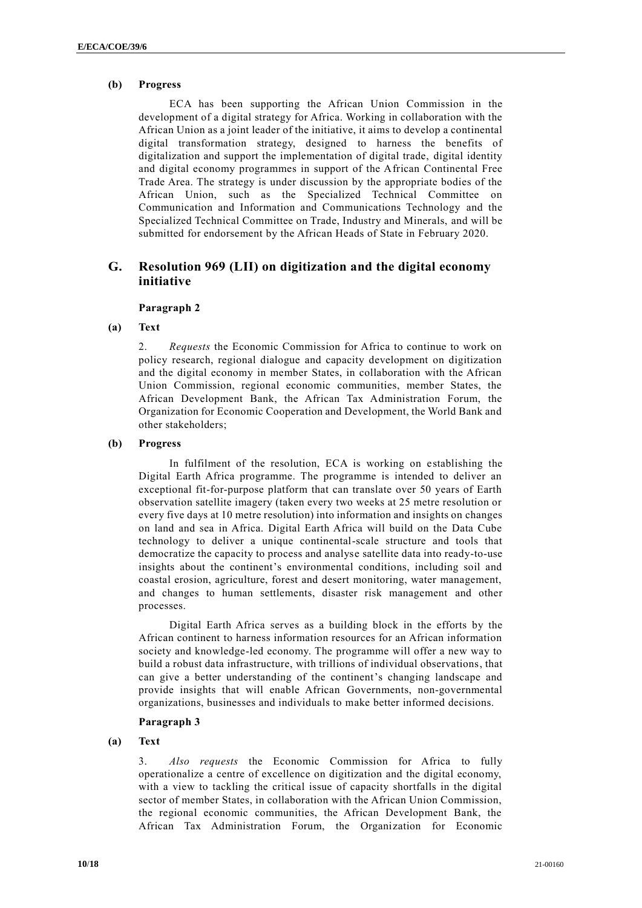## **(b) Progress**

ECA has been supporting the African Union Commission in the development of a digital strategy for Africa. Working in collaboration with the African Union as a joint leader of the initiative, it aims to develop a continental digital transformation strategy, designed to harness the benefits of digitalization and support the implementation of digital trade, digital identity and digital economy programmes in support of the African Continental Free Trade Area. The strategy is under discussion by the appropriate bodies of the African Union, such as the Specialized Technical Committee on Communication and Information and Communications Technology and the Specialized Technical Committee on Trade, Industry and Minerals, and will be submitted for endorsement by the African Heads of State in February 2020.

## **G. Resolution 969 (LII) on digitization and the digital economy initiative**

#### **Paragraph 2**

#### **(a) Text**

2. *Requests* the Economic Commission for Africa to continue to work on policy research, regional dialogue and capacity development on digitization and the digital economy in member States, in collaboration with the African Union Commission, regional economic communities, member States, the African Development Bank, the African Tax Administration Forum, the Organization for Economic Cooperation and Development, the World Bank and other stakeholders;

#### **(b) Progress**

In fulfilment of the resolution, ECA is working on establishing the Digital Earth Africa programme. The programme is intended to deliver an exceptional fit-for-purpose platform that can translate over 50 years of Earth observation satellite imagery (taken every two weeks at 25 metre resolution or every five days at 10 metre resolution) into information and insights on changes on land and sea in Africa. Digital Earth Africa will build on the Data Cube technology to deliver a unique continental-scale structure and tools that democratize the capacity to process and analyse satellite data into ready-to-use insights about the continent's environmental conditions, including soil and coastal erosion, agriculture, forest and desert monitoring, water management, and changes to human settlements, disaster risk management and other processes.

Digital Earth Africa serves as a building block in the efforts by the African continent to harness information resources for an African information society and knowledge-led economy. The programme will offer a new way to build a robust data infrastructure, with trillions of individual observations, that can give a better understanding of the continent's changing landscape and provide insights that will enable African Governments, non-governmental organizations, businesses and individuals to make better informed decisions.

#### **Paragraph 3**

#### **(a) Text**

3. *Also requests* the Economic Commission for Africa to fully operationalize a centre of excellence on digitization and the digital economy, with a view to tackling the critical issue of capacity shortfalls in the digital sector of member States, in collaboration with the African Union Commission, the regional economic communities, the African Development Bank, the African Tax Administration Forum, the Organization for Economic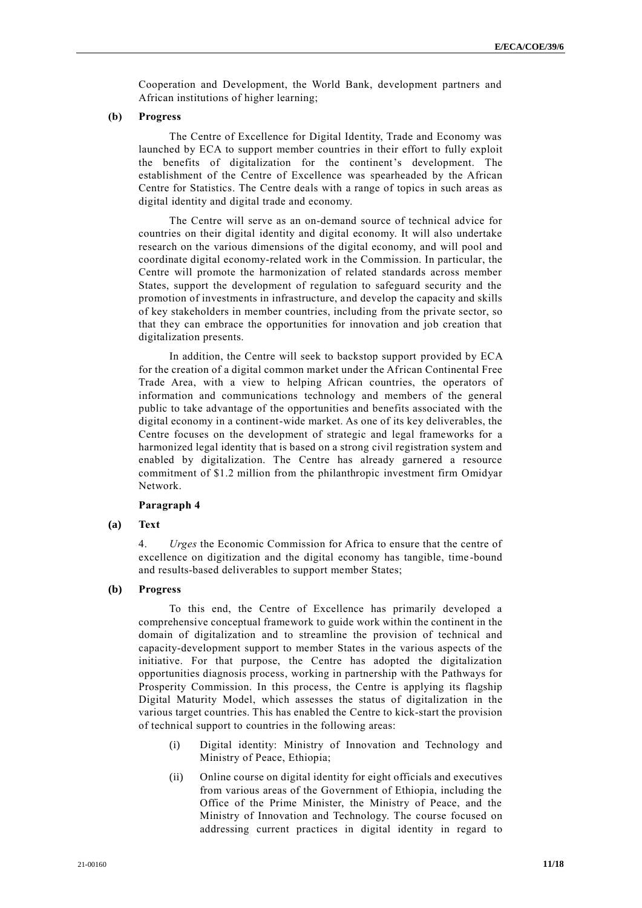Cooperation and Development, the World Bank, development partners and African institutions of higher learning;

#### **(b) Progress**

The Centre of Excellence for Digital Identity, Trade and Economy was launched by ECA to support member countries in their effort to fully exploit the benefits of digitalization for the continent's development. The establishment of the Centre of Excellence was spearheaded by the African Centre for Statistics. The Centre deals with a range of topics in such areas as digital identity and digital trade and economy.

The Centre will serve as an on-demand source of technical advice for countries on their digital identity and digital economy. It will also undertake research on the various dimensions of the digital economy, and will pool and coordinate digital economy-related work in the Commission. In particular, the Centre will promote the harmonization of related standards across member States, support the development of regulation to safeguard security and the promotion of investments in infrastructure, and develop the capacity and skills of key stakeholders in member countries, including from the private sector, so that they can embrace the opportunities for innovation and job creation that digitalization presents.

In addition, the Centre will seek to backstop support provided by ECA for the creation of a digital common market under the African Continental Free Trade Area, with a view to helping African countries, the operators of information and communications technology and members of the general public to take advantage of the opportunities and benefits associated with the digital economy in a continent-wide market. As one of its key deliverables, the Centre focuses on the development of strategic and legal frameworks for a harmonized legal identity that is based on a strong civil registration system and enabled by digitalization. The Centre has already garnered a resource commitment of \$1.2 million from the philanthropic investment firm Omidyar Network.

#### **Paragraph 4**

#### **(a) Text**

4. *Urges* the Economic Commission for Africa to ensure that the centre of excellence on digitization and the digital economy has tangible, time -bound and results-based deliverables to support member States;

#### **(b) Progress**

To this end, the Centre of Excellence has primarily developed a comprehensive conceptual framework to guide work within the continent in the domain of digitalization and to streamline the provision of technical and capacity-development support to member States in the various aspects of the initiative. For that purpose, the Centre has adopted the digitalization opportunities diagnosis process, working in partnership with the Pathways for Prosperity Commission. In this process, the Centre is applying its flagship Digital Maturity Model, which assesses the status of digitalization in the various target countries. This has enabled the Centre to kick-start the provision of technical support to countries in the following areas:

- (i) Digital identity: Ministry of Innovation and Technology and Ministry of Peace, Ethiopia;
- (ii) Online course on digital identity for eight officials and executives from various areas of the Government of Ethiopia, including the Office of the Prime Minister, the Ministry of Peace, and the Ministry of Innovation and Technology. The course focused on addressing current practices in digital identity in regard to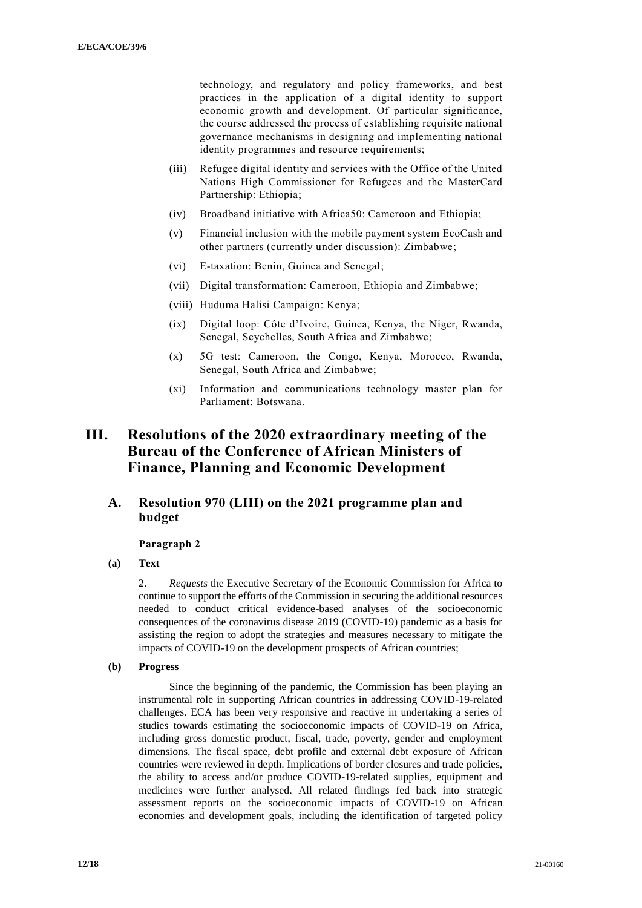technology, and regulatory and policy frameworks, and best practices in the application of a digital identity to support economic growth and development. Of particular significance, the course addressed the process of establishing requisite national governance mechanisms in designing and implementing national identity programmes and resource requirements;

- (iii) Refugee digital identity and services with the Office of the United Nations High Commissioner for Refugees and the MasterCard Partnership: Ethiopia;
- (iv) Broadband initiative with Africa50: Cameroon and Ethiopia;
- (v) Financial inclusion with the mobile payment system EcoCash and other partners (currently under discussion): Zimbabwe;
- (vi) E-taxation: Benin, Guinea and Senegal;
- (vii) Digital transformation: Cameroon, Ethiopia and Zimbabwe;
- (viii) Huduma Halisi Campaign: Kenya;
- (ix) Digital loop: Côte d'Ivoire, Guinea, Kenya, the Niger, Rwanda, Senegal, Seychelles, South Africa and Zimbabwe;
- (x) 5G test: Cameroon, the Congo, Kenya, Morocco, Rwanda, Senegal, South Africa and Zimbabwe;
- (xi) Information and communications technology master plan for Parliament: Botswana.

## **III. Resolutions of the 2020 extraordinary meeting of the Bureau of the Conference of African Ministers of Finance, Planning and Economic Development**

## **A. Resolution 970 (LIII) on the 2021 programme plan and budget**

#### **Paragraph 2**

**(a) Text**

2. *Requests* the Executive Secretary of the Economic Commission for Africa to continue to support the efforts of the Commission in securing the additional resources needed to conduct critical evidence-based analyses of the socioeconomic consequences of the coronavirus disease 2019 (COVID-19) pandemic as a basis for assisting the region to adopt the strategies and measures necessary to mitigate the impacts of COVID-19 on the development prospects of African countries;

**(b) Progress**

Since the beginning of the pandemic, the Commission has been playing an instrumental role in supporting African countries in addressing COVID-19-related challenges. ECA has been very responsive and reactive in undertaking a series of studies towards estimating the socioeconomic impacts of COVID-19 on Africa, including gross domestic product, fiscal, trade, poverty, gender and employment dimensions. The fiscal space, debt profile and external debt exposure of African countries were reviewed in depth. Implications of border closures and trade policies, the ability to access and/or produce COVID-19-related supplies, equipment and medicines were further analysed. All related findings fed back into strategic assessment reports on the socioeconomic impacts of COVID-19 on African economies and development goals, including the identification of targeted policy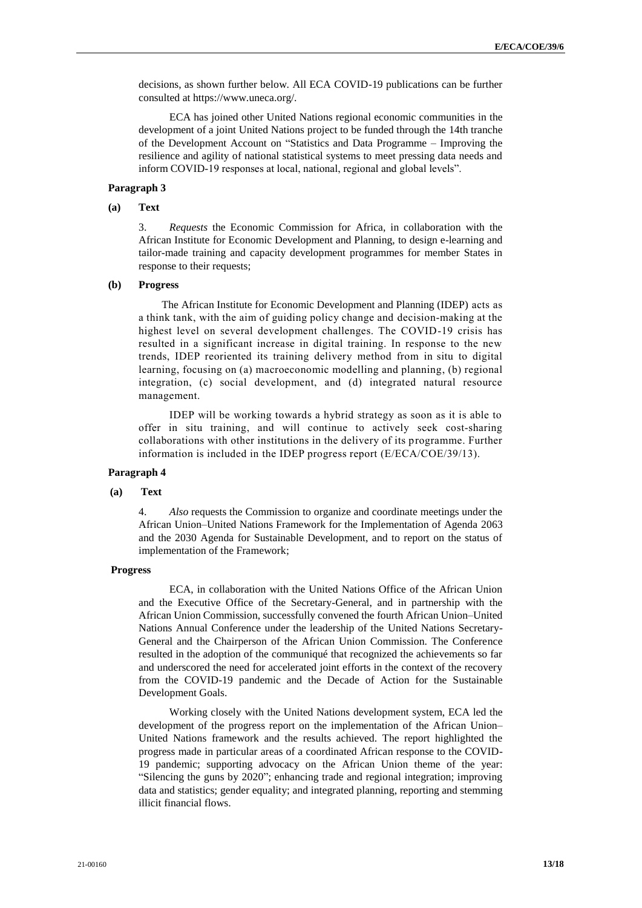decisions, as shown further below. All ECA COVID-19 publications can be further consulted at https://www.uneca.org/.

ECA has joined other United Nations regional economic communities in the development of a joint United Nations project to be funded through the 14th tranche of the Development Account on "Statistics and Data Programme – Improving the resilience and agility of national statistical systems to meet pressing data needs and inform COVID-19 responses at local, national, regional and global levels".

#### **Paragraph 3**

#### **(a) Text**

3. *Requests* the Economic Commission for Africa, in collaboration with the African Institute for Economic Development and Planning, to design e-learning and tailor-made training and capacity development programmes for member States in response to their requests;

#### **(b) Progress**

The African Institute for Economic Development and Planning (IDEP) acts as a think tank, with the aim of guiding policy change and decision-making at the highest level on several development challenges. The COVID-19 crisis has resulted in a significant increase in digital training. In response to the new trends, IDEP reoriented its training delivery method from in situ to digital learning, focusing on (a) macroeconomic modelling and planning, (b) regional integration, (c) social development, and (d) integrated natural resource management.

IDEP will be working towards a hybrid strategy as soon as it is able to offer in situ training, and will continue to actively seek cost-sharing collaborations with other institutions in the delivery of its programme. Further information is included in the IDEP progress report (E/ECA/COE/39/13).

#### **Paragraph 4**

#### **(a) Text**

4. *Also* requests the Commission to organize and coordinate meetings under the African Union–United Nations Framework for the Implementation of Agenda 2063 and the 2030 Agenda for Sustainable Development, and to report on the status of implementation of the Framework;

#### **Progress**

ECA, in collaboration with the United Nations Office of the African Union and the Executive Office of the Secretary-General, and in partnership with the African Union Commission, successfully convened the fourth African Union–United Nations Annual Conference under the leadership of the United Nations Secretary-General and the Chairperson of the African Union Commission. The Conference resulted in the adoption of the communiqué that recognized the achievements so far and underscored the need for accelerated joint efforts in the context of the recovery from the COVID-19 pandemic and the Decade of Action for the Sustainable Development Goals.

Working closely with the United Nations development system, ECA led the development of the progress report on the implementation of the African Union– United Nations framework and the results achieved. The report highlighted the progress made in particular areas of a coordinated African response to the COVID-19 pandemic; supporting advocacy on the African Union theme of the year: "Silencing the guns by 2020"; enhancing trade and regional integration; improving data and statistics; gender equality; and integrated planning, reporting and stemming illicit financial flows.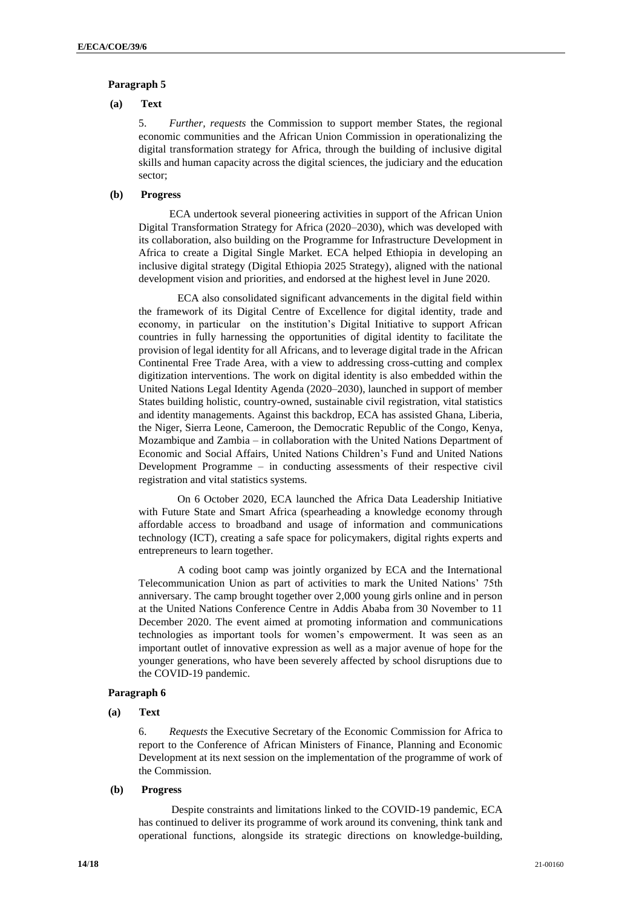#### **Paragraph 5**

#### **(a) Text**

5. *Further, requests* the Commission to support member States, the regional economic communities and the African Union Commission in operationalizing the digital transformation strategy for Africa, through the building of inclusive digital skills and human capacity across the digital sciences, the judiciary and the education sector;

## **(b) Progress**

ECA undertook several pioneering activities in support of the African Union Digital Transformation Strategy for Africa (2020–2030), which was developed with its collaboration, also building on the Programme for Infrastructure Development in Africa to create a Digital Single Market. ECA helped Ethiopia in developing an inclusive digital strategy (Digital Ethiopia 2025 Strategy), aligned with the national development vision and priorities, and endorsed at the highest level in June 2020.

ECA also consolidated significant advancements in the digital field within the framework of its Digital Centre of Excellence for digital identity, trade and economy, in particular on the institution's Digital Initiative to support African countries in fully harnessing the opportunities of digital identity to facilitate the provision of legal identity for all Africans, and to leverage digital trade in the African Continental Free Trade Area, with a view to addressing cross-cutting and complex digitization interventions. The work on digital identity is also embedded within the United Nations Legal Identity Agenda (2020–2030), launched in support of member States building holistic, country-owned, sustainable civil registration, vital statistics and identity managements. Against this backdrop, ECA has assisted Ghana, Liberia, the Niger, Sierra Leone, Cameroon, the Democratic Republic of the Congo, Kenya, Mozambique and Zambia – in collaboration with the United Nations Department of Economic and Social Affairs, United Nations Children's Fund and United Nations Development Programme – in conducting assessments of their respective civil registration and vital statistics systems.

On 6 October 2020, ECA launched the Africa Data Leadership Initiative with Future State and Smart Africa (spearheading a knowledge economy through affordable access to broadband and usage of information and communications technology (ICT), creating a safe space for policymakers, digital rights experts and entrepreneurs to learn together.

A coding boot camp was jointly organized by ECA and the International Telecommunication Union as part of activities to mark the United Nations' 75th anniversary. The camp brought together over 2,000 young girls online and in person at the United Nations Conference Centre in Addis Ababa from 30 November to 11 December 2020. The event aimed at promoting information and communications technologies as important tools for women's empowerment. It was seen as an important outlet of innovative expression as well as a major avenue of hope for the younger generations, who have been severely affected by school disruptions due to the COVID-19 pandemic.

#### **Paragraph 6**

**(a) Text**

6. *Requests* the Executive Secretary of the Economic Commission for Africa to report to the Conference of African Ministers of Finance, Planning and Economic Development at its next session on the implementation of the programme of work of the Commission.

#### **(b) Progress**

Despite constraints and limitations linked to the COVID-19 pandemic, ECA has continued to deliver its programme of work around its convening, think tank and operational functions, alongside its strategic directions on knowledge-building,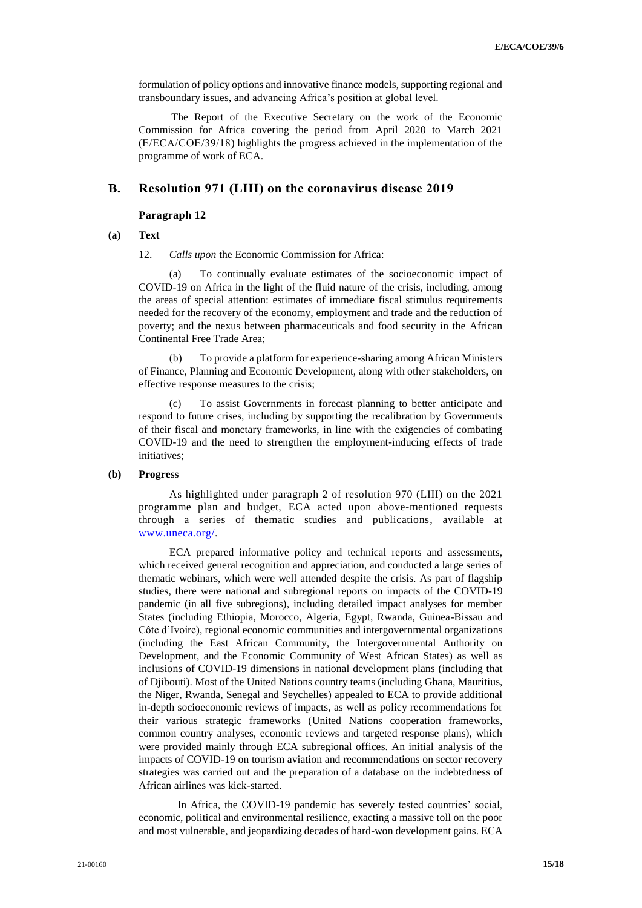formulation of policy options and innovative finance models, supporting regional and transboundary issues, and advancing Africa's position at global level.

The Report of the Executive Secretary on the work of the Economic Commission for Africa covering the period from April 2020 to March 2021 (E/ECA/COE/39/18) highlights the progress achieved in the implementation of the programme of work of ECA.

## **B. Resolution 971 (LIII) on the coronavirus disease 2019**

#### **Paragraph 12**

#### **(a) Text**

12. *Calls upon* the Economic Commission for Africa:

(a) To continually evaluate estimates of the socioeconomic impact of COVID-19 on Africa in the light of the fluid nature of the crisis, including, among the areas of special attention: estimates of immediate fiscal stimulus requirements needed for the recovery of the economy, employment and trade and the reduction of poverty; and the nexus between pharmaceuticals and food security in the African Continental Free Trade Area;

(b) To provide a platform for experience-sharing among African Ministers of Finance, Planning and Economic Development, along with other stakeholders, on effective response measures to the crisis;

(c) To assist Governments in forecast planning to better anticipate and respond to future crises, including by supporting the recalibration by Governments of their fiscal and monetary frameworks, in line with the exigencies of combating COVID-19 and the need to strengthen the employment-inducing effects of trade initiatives;

#### **(b) Progress**

As highlighted under paragraph 2 of resolution 970 (LIII) on the 2021 programme plan and budget, ECA acted upon above-mentioned requests through a series of thematic studies and publications, available at [www.uneca.org/.](http://www.uneca.org/)

ECA prepared informative policy and technical reports and assessments, which received general recognition and appreciation, and conducted a large series of thematic webinars, which were well attended despite the crisis. As part of flagship studies, there were national and subregional reports on impacts of the COVID-19 pandemic (in all five subregions), including detailed impact analyses for member States (including Ethiopia, Morocco, Algeria, Egypt, Rwanda, Guinea-Bissau and Côte d'Ivoire), regional economic communities and intergovernmental organizations (including the East African Community, the Intergovernmental Authority on Development, and the Economic Community of West African States) as well as inclusions of COVID-19 dimensions in national development plans (including that of Djibouti). Most of the United Nations country teams (including Ghana, Mauritius, the Niger, Rwanda, Senegal and Seychelles) appealed to ECA to provide additional in-depth socioeconomic reviews of impacts, as well as policy recommendations for their various strategic frameworks (United Nations cooperation frameworks, common country analyses, economic reviews and targeted response plans), which were provided mainly through ECA subregional offices. An initial analysis of the impacts of COVID-19 on tourism aviation and recommendations on sector recovery strategies was carried out and the preparation of a database on the indebtedness of African airlines was kick-started.

In Africa, the COVID-19 pandemic has severely tested countries' social, economic, political and environmental resilience, exacting a massive toll on the poor and most vulnerable, and jeopardizing decades of hard-won development gains. ECA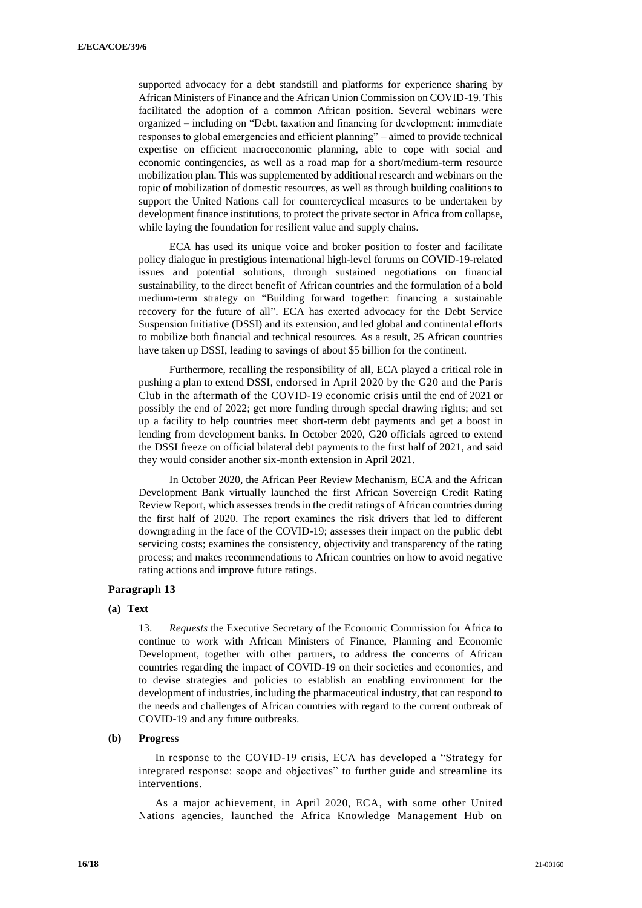supported advocacy for a debt standstill and platforms for experience sharing by African Ministers of Finance and the African Union Commission on COVID-19. This facilitated the adoption of a common African position. Several webinars were organized – including on "Debt, taxation and financing for development: immediate responses to global emergencies and efficient planning" – aimed to provide technical expertise on efficient macroeconomic planning, able to cope with social and economic contingencies, as well as a road map for a short/medium-term resource mobilization plan. This was supplemented by additional research and webinars on the topic of mobilization of domestic resources, as well as through building coalitions to support the United Nations call for countercyclical measures to be undertaken by development finance institutions, to protect the private sector in Africa from collapse, while laying the foundation for resilient value and supply chains.

ECA has used its unique voice and broker position to foster and facilitate policy dialogue in prestigious international high-level forums on COVID-19-related issues and potential solutions, through sustained negotiations on financial sustainability, to the direct benefit of African countries and the formulation of a bold medium-term strategy on "Building forward together: financing a sustainable recovery for the future of all". ECA has exerted advocacy for the Debt Service Suspension Initiative (DSSI) and its extension, and led global and continental efforts to mobilize both financial and technical resources. As a result, 25 African countries have taken up DSSI, leading to savings of about \$5 billion for the continent.

Furthermore, recalling the responsibility of all, ECA played a critical role in pushing a plan to extend DSSI, endorsed in April 2020 by the G20 and the Paris Club in the aftermath of the COVID-19 economic crisis until the end of 2021 or possibly the end of 2022; get more funding through special drawing rights; and set up a facility to help countries meet short-term debt payments and get a boost in lending from development banks. In October 2020, G20 officials agreed to extend the DSSI freeze on official bilateral debt payments to the first half of 2021, and said they would consider another six-month extension in April 2021.

In October 2020, the African Peer Review Mechanism, ECA and the African Development Bank virtually launched the first African Sovereign Credit Rating Review Report, which assesses trends in the credit ratings of African countries during the first half of 2020. The report examines the risk drivers that led to different downgrading in the face of the COVID-19; assesses their impact on the public debt servicing costs; examines the consistency, objectivity and transparency of the rating process; and makes recommendations to African countries on how to avoid negative rating actions and improve future ratings.

#### **Paragraph 13**

#### **(a) Text**

13. *Requests* the Executive Secretary of the Economic Commission for Africa to continue to work with African Ministers of Finance, Planning and Economic Development, together with other partners, to address the concerns of African countries regarding the impact of COVID-19 on their societies and economies, and to devise strategies and policies to establish an enabling environment for the development of industries, including the pharmaceutical industry, that can respond to the needs and challenges of African countries with regard to the current outbreak of COVID-19 and any future outbreaks.

#### **(b) Progress**

In response to the COVID-19 crisis, ECA has developed a "Strategy for integrated response: scope and objectives" to further guide and streamline its interventions.

As a major achievement, in April 2020, ECA, with some other United Nations agencies, launched the Africa Knowledge Management Hub on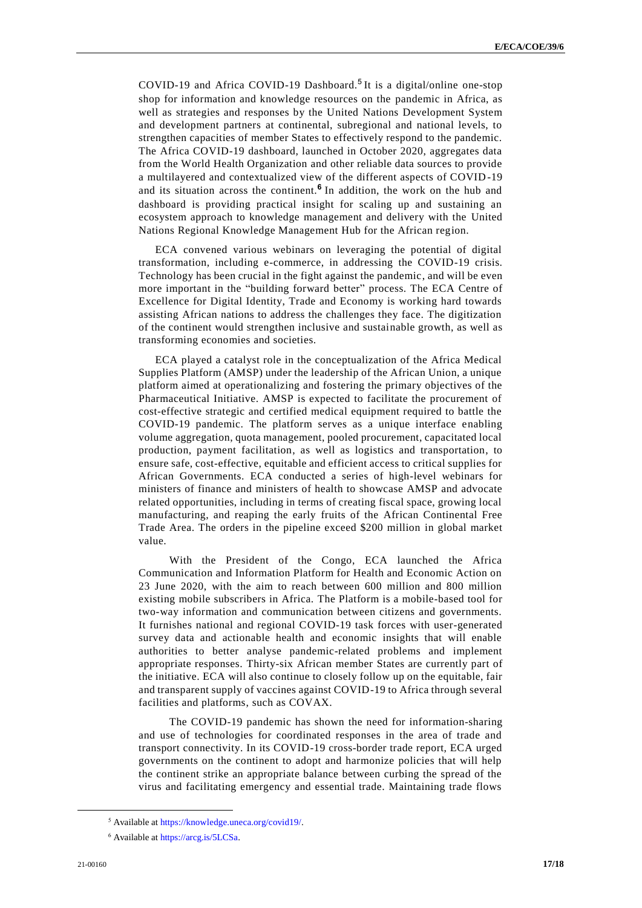COVID-19 and Africa COVID-19 Dashboard. 5 It is a digital/online one-stop shop for information and knowledge resources on the pandemic in Africa, as well as strategies and responses by the United Nations Development System and development partners at continental, subregional and national levels, to strengthen capacities of member States to effectively respond to the pandemic. The Africa COVID-19 dashboard, launched in October 2020, aggregates data from the World Health Organization and other reliable data sources to provide a multilayered and contextualized view of the different aspects of COVID-19 and its situation across the continent. **6** In addition, the work on the hub and dashboard is providing practical insight for scaling up and sustaining an ecosystem approach to knowledge management and delivery with the United Nations Regional Knowledge Management Hub for the African region.

ECA convened various webinars on leveraging the potential of digital transformation, including e-commerce, in addressing the COVID-19 crisis. Technology has been crucial in the fight against the pandemic, and will be even more important in the "building forward better" process. The ECA Centre of Excellence for Digital Identity, Trade and Economy is working hard towards assisting African nations to address the challenges they face. The digitization of the continent would strengthen inclusive and sustainable growth, as well as transforming economies and societies.

ECA played a catalyst role in the conceptualization of the Africa Medical Supplies Platform (AMSP) under the leadership of the African Union, a unique platform aimed at operationalizing and fostering the primary objectives of the Pharmaceutical Initiative. AMSP is expected to facilitate the procurement of cost-effective strategic and certified medical equipment required to battle the COVID-19 pandemic. The platform serves as a unique interface enabling volume aggregation, quota management, pooled procurement, capacitated local production, payment facilitation, as well as logistics and transportation, to ensure safe, cost-effective, equitable and efficient access to critical supplies for African Governments. ECA conducted a series of high-level webinars for ministers of finance and ministers of health to showcase AMSP and advocate related opportunities, including in terms of creating fiscal space, growing local manufacturing, and reaping the early fruits of the African Continental Free Trade Area. The orders in the pipeline exceed \$200 million in global market value.

With the President of the Congo, ECA launched the Africa Communication and Information Platform for Health and Economic Action on 23 June 2020, with the aim to reach between 600 million and 800 million existing mobile subscribers in Africa. The Platform is a mobile-based tool for two-way information and communication between citizens and governments. It furnishes national and regional COVID-19 task forces with user-generated survey data and actionable health and economic insights that will enable authorities to better analyse pandemic-related problems and implement appropriate responses. Thirty-six African member States are currently part of the initiative. ECA will also continue to closely follow up on the equitable, fair and transparent supply of vaccines against COVID-19 to Africa through several facilities and platforms, such as COVAX.

The COVID-19 pandemic has shown the need for information-sharing and use of technologies for coordinated responses in the area of trade and transport connectivity. In its COVID-19 cross-border trade report, ECA urged governments on the continent to adopt and harmonize policies that will help the continent strike an appropriate balance between curbing the spread of the virus and facilitating emergency and essential trade. Maintaining trade flows

**.** 

<sup>5</sup> Available a[t https://knowledge.uneca.org/covid19/.](https://knowledge.uneca.org/covid19/)

<sup>6</sup> Available a[t https://arcg.is/5LCSa.](https://arcg.is/5LCSa)